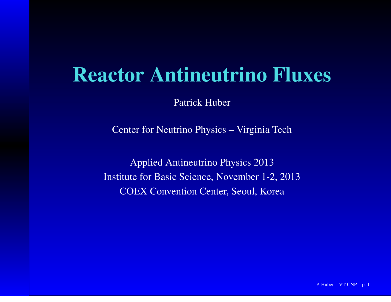#### Reactor Antineutrino Fluxes

Patrick Huber

Center for Neutrino Physics – Virginia Tech

Applied Antineutrino Physics 2013Institute for Basic Science, November 1-2, 2013COEX Convention Center, Seoul, Korea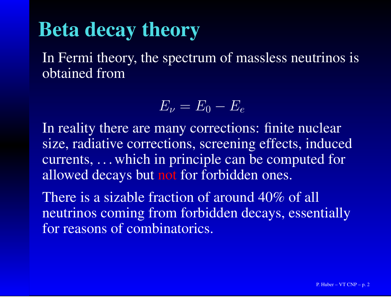#### Beta decay theory

In Fermi theory, the spectrum of massless neutrinos isobtained from

> $E_\nu=$  $E_{\rm 0}$  $E_e\,$

 In reality there are many corrections: finite nuclear size, radiative corrections, screening effects, induced currents, . . . which in principle can be computed forallowed decays but not for forbidden ones.

There is <sup>a</sup> sizable fraction of around 40% of allneutrinos coming from forbidden decays, essentiallyfor reasons of combinatorics.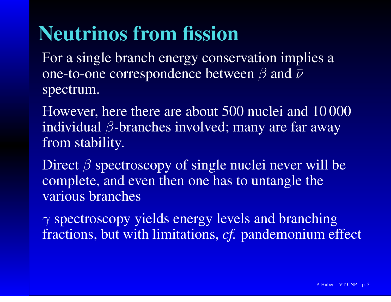### Neutrinos from fission

 For <sup>a</sup> single branch energy conservation implies <sup>a</sup>one-to-one correspondence between  $\beta$  and  $\bar{\nu}$ spectrum.

However, here there are about 500 nuclei and 10 000individual  $\beta$ -branches involved; many are far away from stability.

Direct  $\beta$  spectroscopy of single nuclei never will be complete, and even then one has to untangle thevarious branches

 $\gamma$  spectroscopy yields energy levels and branching fractions, but with limitations, *cf.* pandemonium effect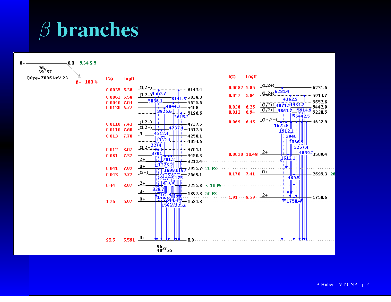# $\beta$  branches

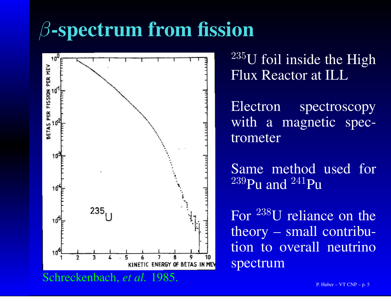## $\beta$ -spectrum from fission



 $235$ U foil inside the High Flux Reactor at ILL

Electron spectroscopy with <sup>a</sup> magnetic spectrometer

Same method used for $^{239}$ Pu and  $^{241}$ Pu

For  $^{238}$ U reliance on the theory – small contribution to overall neutrinospectrum

Schreckenbach, *et al.* 1985.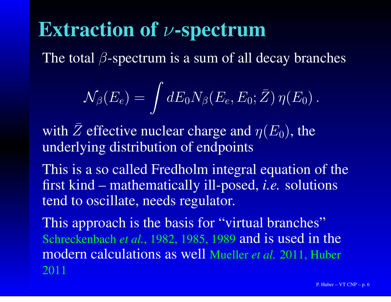## Extraction of  $\nu$ -spectrum

The total  $\beta$ -spectrum is a sum of all decay branches

$$
\mathcal{N}_{\beta}(E_e) = \int dE_0 N_{\beta}(E_e, E_0; \bar{Z}) \, \eta(E_0) \, .
$$

with  $\bar{Z}$  effective nuclear charge and  $\eta(E_0)$ , the underlying distribution of endpoints

This is <sup>a</sup> so called Fredholm integral equation of thefirst kind – mathematically ill-posed, *i.e.* solutionstend to oscillate, needs regulator.

This approach is the basis for "virtual branches" Schreckenbach *et al.*, 1982, 1985, <sup>1989</sup> and is used in the modern calculations as well Mueller *et al.* 2011, Huber 2011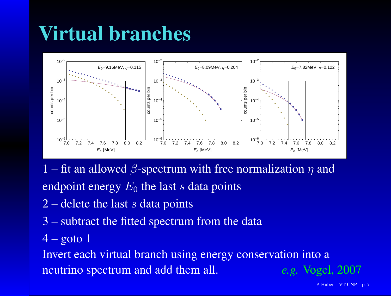### Virtual branches



1 – fit an allowed  $\beta$ -spectrum with free normalization  $\eta$  and endpoint energy  $E_{\rm 0}$  the last  $s$  data points

- 2 delete the last  $s$  data points
- 3 subtract the fitted spectrum from the data
- $4 \overline{\text{goto}}\,1$

 Invert each virtual branch using energy conservation into <sup>a</sup>neutrino spectrum and add them all. e.g. Vogel, 2007

P. Huber – VT CNP – p. 7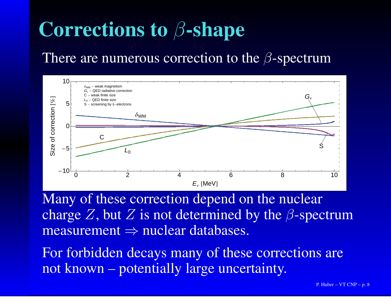## Corrections to  $\beta$ -shape

#### There are numerous correction to the  $\beta$ -spectrum



Many of these correction depend on the nuclearcharge Z, but Z is not determined by the  $\beta$ -spectrum measurement ⇒ nuclear databases.

For forbidden decays many of these corrections arenot known – potentially large uncertainty.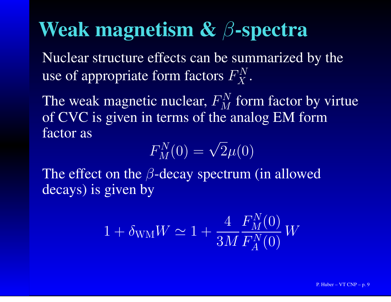#### Weak magnetism  $\mathbf{\&} \ \beta$ -spectra

 Nuclear structure effects can be summarized by theuse of appropriate form factors  $F_X^N$  $X$  .

The weak magnetic nuclear,  $F_{M}^{N}$  of CVC is given in terms of the analog EM form $M \,$  $\frac{M}{M}$  form factor by virtue<br>e analog EM form factor as

$$
F_M^N(0)=\sqrt{2}\mu(0)
$$

The effect on the  $\beta$ -decay spectrum (in allowed decays) is given by

$$
1 + \delta_{\text{WM}} W \simeq 1 + \frac{4}{3M} \frac{F_M^N(0)}{F_A^N(0)} W
$$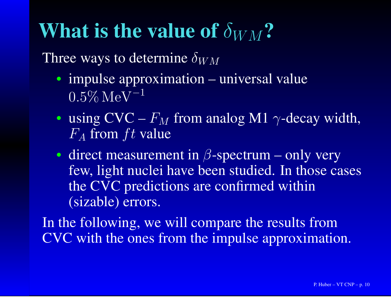### What is the value of  $\delta_{WM}$ ?

Three ways to determine  $\delta_{WM}$ 

- impulse approximation universal value  $0.5\% \,\rm MeV^{-1}$
- using  $\text{CVC} F_M$  from analog M1  $\gamma$ -decay width,<br>F<sub>r</sub> from ft value  $F_A$  from  $ft$  value
- direct measurement in  $\beta$ -spectrum only very few, light nuclei have been studied. In those casesthe CVC predictions are confirmed within(sizable) errors.

In the following, we will compare the results fromCVC with the ones from the impulse approximation.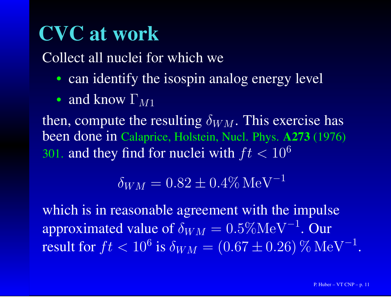### CVC at work

Collect all nuclei for which we

- can identify the isospin analog energy level
- and know  $\Gamma_{M1}$

then, compute the resulting  $\delta_{WM}$ . This exercise has been done in Calaprice, Holstein, Nucl. Phys. A273 (1976) 301. and they find for nuclei with  $ft < 10^6$ 

$$
\delta_{WM} = 0.82 \pm 0.4\% \,\mathrm{MeV}^{-1}
$$

which is in reasonable agreement with the impulse approximated value of  $\delta_{WM} = 0.5\% \text{MeV}^{-1}$ . Our result for  $ft < 10^6$  is  $\delta_{WM} = (0.67 \pm 0.26)\,\% \,\rm{MeV}^{-1}.$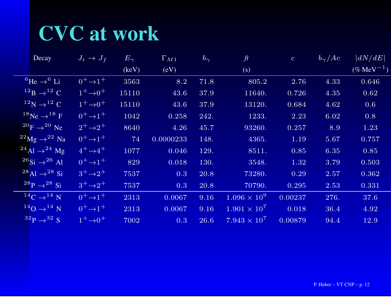### CVC at work

| Decay                                     | $J_i \rightarrow J_f$ | $E_{\gamma}$ | $\Gamma_{M1}$ | $b_{\gamma}$ | ft                    | $\mathcal{C}$ | $b_{\gamma}/Ac$ | $\vert dN/dE\vert$     |
|-------------------------------------------|-----------------------|--------------|---------------|--------------|-----------------------|---------------|-----------------|------------------------|
|                                           |                       | (keV)        | (eV)          |              | (s)                   |               |                 | $(\% \text{MeV}^{-1})$ |
| ${}^{6}$ He $\rightarrow$ <sup>6</sup> Li | $0^+\rightarrow 1^+$  | 3563         | 8.2           | 71.8         | 805.2                 | 2.76          | 4.33            | 0.646                  |
| $^{12}B \rightarrow ^{12}C$               | $1^+ \rightarrow 0^+$ | 15110        | 43.6          | 37.9         | 11640.                | 0.726         | 4.35            | 0.62                   |
| $12^1$ N $\rightarrow$ $12^1$ C           | $1^+ \rightarrow 0^+$ | 15110        | 43.6          | 37.9         | 13120.                | 0.684         | 4.62            | 0.6                    |
| $^{18}$ Ne $\rightarrow$ $^{18}$ F        | $0^+\rightarrow 1^+$  | 1042         | 0.258         | 242.         | 1233.                 | 2.23          | 6.02            | 0.8                    |
| $^{20}$ F $\rightarrow$ $^{20}$ Ne        | $2^+ \rightarrow 2^+$ | 8640         | 4.26          | 45.7         | 93260.                | 0.257         | 8.9             | 1.23                   |
| $^{22}$ Mg $\rightarrow$ $^{22}$ Na       | $0^+\rightarrow 1^+$  | 74           | 0.0000233     | 148.         | 4365.                 | 1.19          | 5.67            | 0.757                  |
| $^{24}$ Al $\rightarrow$ $^{24}$ Mg       | $4^+ \rightarrow 4^+$ | 1077         | 0.046         | 129.         | 8511.                 | 0.85          | 6.35            | 0.85                   |
| $126$ Si $\rightarrow$ $26$ Al            | $0^+\rightarrow 1^+$  | 829          | 0.018         | 130.         | 3548.                 | 1.32          | 3.79            | 0.503                  |
| $^{28}$ Al $\rightarrow$ $^{28}$ Si       | $3^+\rightarrow 2^+$  | 7537         | 0.3           | 20.8         | 73280.                | 0.29          | 2.57            | 0.362                  |
| $^{28}P \rightarrow ^{28}Si$              | $3^+\rightarrow 2^+$  | 7537         | 0.3           | 20.8         | 70790.                | 0.295         | 2.53            | 0.331                  |
| $14C \rightarrow 14N$                     | $0^+\rightarrow 1^+$  | 2313         | 0.0067        | 9.16         | $1.096 \times 10^{9}$ | 0.00237       | 276.            | 37.6                   |
| $^{14}$ O $\rightarrow$ $^{14}$ N         | $0^+\rightarrow 1^+$  | 2313         | 0.0067        | 9.16         | $1.901 \times 10^{7}$ | 0.018         | 36.4            | 4.92                   |
| $3^2P \rightarrow 3^2S$                   | $1^+ \rightarrow 0^+$ | 7002         | 0.3           | 26.6         | $7.943 \times 10^{7}$ | 0.00879       | 94.4            | 12.9                   |
|                                           |                       |              |               |              |                       |               |                 |                        |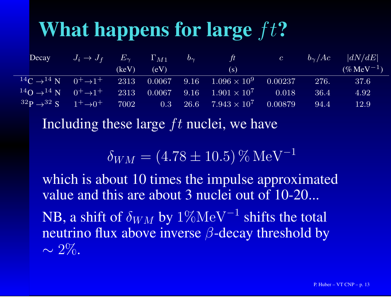# What happens for large  $ft$ ?

| Decay                                                             | $J_i \rightarrow J_f$ $E_{\gamma}$ |       | $\Gamma_{M1}$ | $ b_{\gamma} $ | $\frac{1}{2}$                                                                                                              | $\mathcal{C}$ | $b_{\gamma}/Ac$ | dN/dE                  |
|-------------------------------------------------------------------|------------------------------------|-------|---------------|----------------|----------------------------------------------------------------------------------------------------------------------------|---------------|-----------------|------------------------|
|                                                                   |                                    | (keV) | (eV)          |                | (S)                                                                                                                        |               |                 | $(\% \text{MeV}^{-1})$ |
| $14C \rightarrow 14N$ 0 <sup>+</sup> $\rightarrow$ 1 <sup>+</sup> |                                    | 2313  |               |                | $0.0067$ 9.16 $1.096 \times 10^9$                                                                                          | 0.00237       | 276.            | 37.6                   |
| $140 \rightarrow 14 N$ $0^+ \rightarrow 1^+$                      |                                    | 2313  |               |                | $-0.0067 \quad -9.16 \quad -1.901 \times 10^{7} \qquad -0.018$                                                             |               | 36.4            | 4.92                   |
| $1^{32}P - 3^{2}S = 1^{+} \rightarrow 0^{+}$                      |                                    |       |               |                | $\left( \frac{7002}{ } \right. \qquad \quad 0.3 \quad \, 26.6 \quad \, 7.943 \times 10^{7} \quad \, 0.00879 \, \, 0.00000$ |               | 94.4            | 12.9                   |

Including these large  $ft$  nuclei, we have

 $\delta_{WM} = (4.78 \pm 10.5)\,\% \,\rm{MeV}^{-1}$ 1

which is about 10 times the impulse approximated value and this are about 3 nuclei out of 10-20...

NB, a shift of  $\delta_{WM}$  by  $1\% \text{MeV}^{-1}$  shifts the total<br>neutring flux above inverse  $\beta$  decay threshold by neutrino flux above inverse  $\beta$ -decay threshold by ∼ $\sim 2\%$ .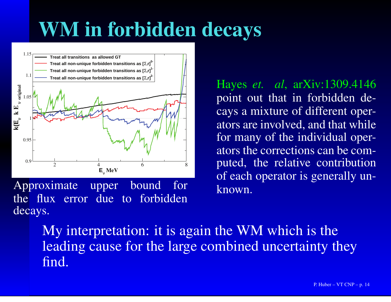### WM in forbidden decays



Approximate upper bound for the flux error due to forbiddendecays.

Hayes *et. al*, arXiv:1309.4146 point out that in forbidden decays <sup>a</sup> mixture of different operators are involved, and that while for many of the individual operators the corrections can be computed, the relative contribution of each operator is generally unknown.

My interpretation: it is again the WM which is the leading cause for the large combined uncertainty theyfind.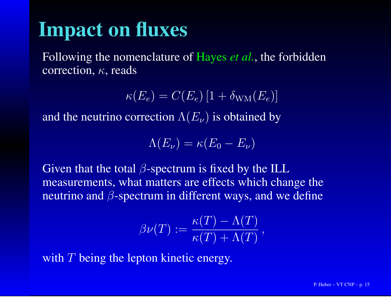#### Impact on fluxes

Following the nomenclature of Hayes *et al.*, the forbiddencorrection,  $\kappa$ , reads

 $\kappa(E_e)=C(E_e)\left[1+\delta_{\rm WM}(E_e)\right]$ 

and the neutrino correction  $\Lambda(E_\nu)$  is obtained by

$$
\Lambda(E_{\nu}) = \kappa(E_0 - E_{\nu})
$$

Given that the total  $\beta$ -spectrum is fixed by the ILL measurements, what matters are effects which change theneutrino and  $\beta$ -spectrum in different ways, and we define

$$
\beta\nu(T) := \frac{\kappa(T) - \Lambda(T)}{\kappa(T) + \Lambda(T)},
$$

with  $T$  being the lepton kinetic energy.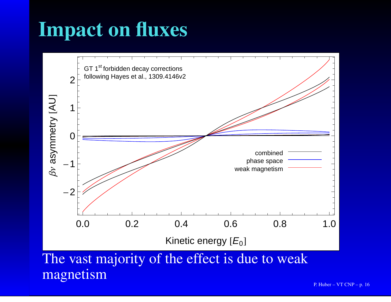### Impact on fluxes

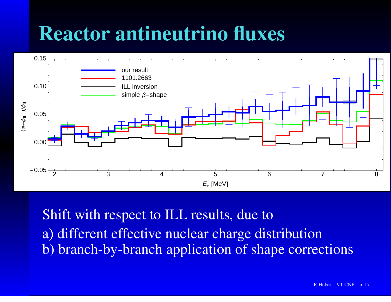### Reactor antineutrino fluxes



Shift with respec<sup>t</sup> to ILL results, due toa) different effective nuclear charge distributionb) branch-by-branch application of shape corrections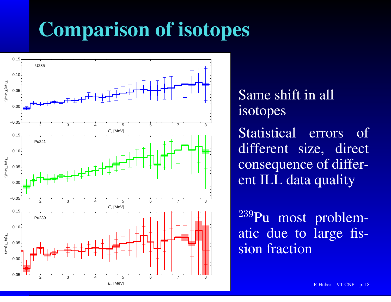## Comparison of isotopes



Same shift in allisotopes

Statistical errors of different size, directconsequence of different ILL data quality

<sup>239</sup>Pu most problematic due to large fission fraction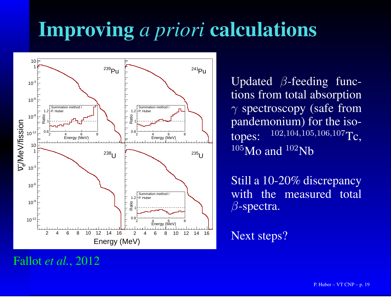# Improving *<sup>a</sup> priori* calculations



Updated  $\beta$ -feeding func tions from total absorption $\gamma$  spectroscopy (safe from pandemonium) for the isotopes:102,104,105,106,107<sub>Tc</sub>  $^{105}$ Mo and  $^{102}$ Nb

Still <sup>a</sup> 10-20% discrepancy with the measured total $\beta$ -spectra.

Next steps?

#### Fallot *et al.*, 2012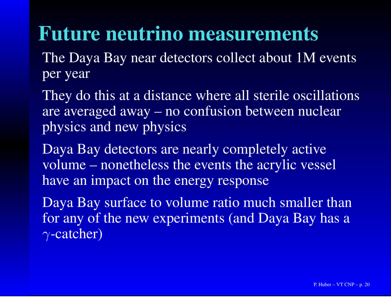#### Future neutrino measurements

The Daya Bay near detectors collect about 1M eventsper year

They do this at <sup>a</sup> distance where all sterile oscillationsare averaged away – no confusion between nuclearphysics and new physics

Daya Bay detectors are nearly completely active volume – nonetheless the events the acrylic vesselhave an impact on the energy response

Daya Bay surface to volume ratio much smaller than for any of the new experiments (and Daya Bay has <sup>a</sup>γ-catcher)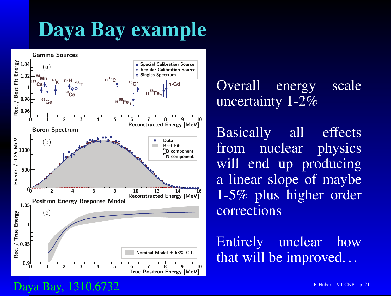### Daya Bay example



Overall energy scaleuncertainty 1-2%

Basically all effectsphysics from nuclear will end up producing <sup>a</sup> linear slope of maybe 1-5% plus higher ordercorrections

Entirely unclear howthat will be improved. . .

#### Daya Bay, 1310.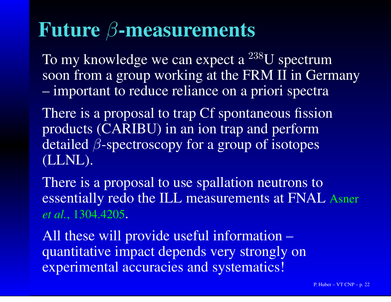# Future  $\beta$ -measurements

To my knowledge we can expect a  $^{238}$ U spectrum soon from <sup>a</sup> group working at the FRM II in Germany**Holland** Construction important to reduce reliance on <sup>a</sup> priori spectra

There is a proposal to trap Cf spontaneous fission products (CARIBU) in an ion trap and performdetailed  $\beta$ -spectroscopy for a group of isotopes (LLNL).

There is <sup>a</sup> proposal to use spallation neutrons toessentially redo the ILL measurements at FNAL Asner *et al.*, 1304.4205.

All these will provide useful information – quantitative impact depends very strongly onexperimental accuracies and systematics!